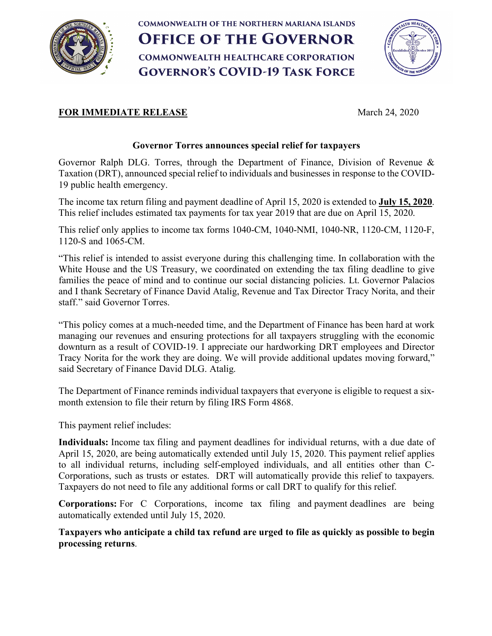

**COMMONWEALTH OF THE NORTHERN MARIANA ISLANDS OFFICE OF THE GOVERNOR COMMONWEALTH HEALTHCARE CORPORATION GOVERNOR'S COVID-19 TASK FORCE** 



## **FOR IMMEDIATE RELEASE** March 24, 2020

## **Governor Torres announces special relief for taxpayers**

Governor Ralph DLG. Torres, through the Department of Finance, Division of Revenue & Taxation (DRT), announced special relief to individuals and businesses in response to the COVID-19 public health emergency.

The income tax return filing and payment deadline of April 15, 2020 is extended to **July 15, 2020**. This relief includes estimated tax payments for tax year 2019 that are due on April 15, 2020.

This relief only applies to income tax forms 1040-CM, 1040-NMI, 1040-NR, 1120-CM, 1120-F, 1120-S and 1065-CM.

"This relief is intended to assist everyone during this challenging time. In collaboration with the White House and the US Treasury, we coordinated on extending the tax filing deadline to give families the peace of mind and to continue our social distancing policies. Lt. Governor Palacios and I thank Secretary of Finance David Atalig, Revenue and Tax Director Tracy Norita, and their staff." said Governor Torres.

"This policy comes at a much-needed time, and the Department of Finance has been hard at work managing our revenues and ensuring protections for all taxpayers struggling with the economic downturn as a result of COVID-19. I appreciate our hardworking DRT employees and Director Tracy Norita for the work they are doing. We will provide additional updates moving forward," said Secretary of Finance David DLG. Atalig.

The Department of Finance reminds individual taxpayers that everyone is eligible to request a sixmonth extension to file their return by filing IRS Form 4868.

This payment relief includes:

**Individuals:** Income tax filing and payment deadlines for individual returns, with a due date of April 15, 2020, are being automatically extended until July 15, 2020. This payment relief applies to all individual returns, including self-employed individuals, and all entities other than C-Corporations, such as trusts or estates. DRT will automatically provide this relief to taxpayers. Taxpayers do not need to file any additional forms or call DRT to qualify for this relief.

**Corporations:** For C Corporations, income tax filing and payment deadlines are being automatically extended until July 15, 2020.

**Taxpayers who anticipate a child tax refund are urged to file as quickly as possible to begin processing returns**.